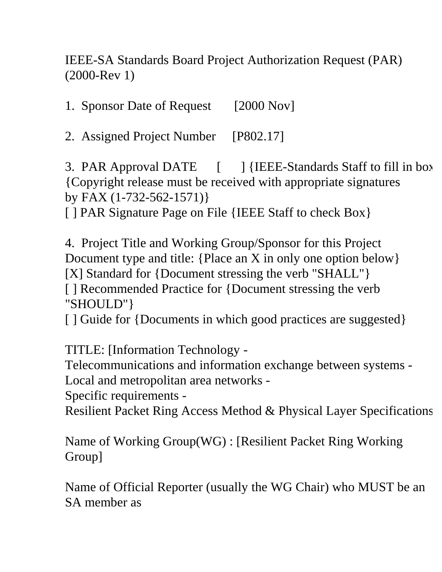IEEE-SA Standards Board Project Authorization Request (PAR) (2000-Rev 1)

1. Sponsor Date of Request [2000 Nov]

2. Assigned Project Number [P802.17]

3. PAR Approval DATE  $\left[ \begin{array}{c} \end{array} \right]$  {IEEE-Standards Staff to fill in box {Copyright release must be received with appropriate signatures by FAX (1-732-562-1571)}

[ ] PAR Signature Page on File {IEEE Staff to check Box}

4. Project Title and Working Group/Sponsor for this Project Document type and title: {Place an X in only one option below} [X] Standard for {Document stressing the verb "SHALL"} [ ] Recommended Practice for {Document stressing the verb "SHOULD"}

[ ] Guide for {Documents in which good practices are suggested}

TITLE: [Information Technology -

Telecommunications and information exchange between systems -

Local and metropolitan area networks -

Specific requirements -

Resilient Packet Ring Access Method & Physical Layer Specifications

Name of Working Group(WG) : [Resilient Packet Ring Working Group]

Name of Official Reporter (usually the WG Chair) who MUST be an SA member as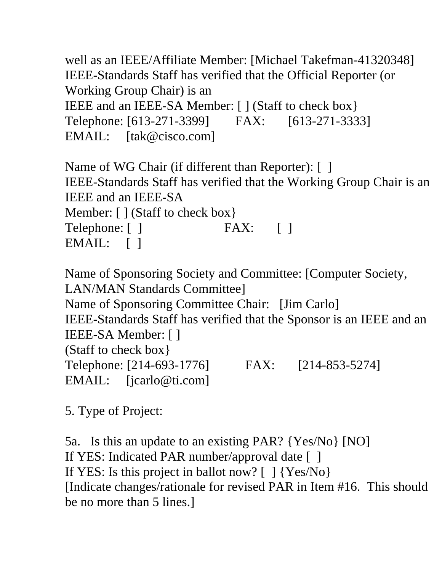well as an IEEE/Affiliate Member: [Michael Takefman-41320348] IEEE-Standards Staff has verified that the Official Reporter (or Working Group Chair) is an IEEE and an IEEE-SA Member: [ ] (Staff to check box} Telephone: [613-271-3399] FAX: [613-271-3333] EMAIL: [tak@cisco.com]

Name of WG Chair (if different than Reporter): [] IEEE-Standards Staff has verified that the Working Group Chair is an IEEE and an IEEE-SA Member: [ ] (Staff to check box} Telephone: [ ] FAX: [ ] EMAIL: [ ]

Name of Sponsoring Society and Committee: [Computer Society, LAN/MAN Standards Committee] Name of Sponsoring Committee Chair: [Jim Carlo] IEEE-Standards Staff has verified that the Sponsor is an IEEE and an IEEE-SA Member: [ ] (Staff to check box} Telephone: [214-693-1776] FAX: [214-853-5274] EMAIL: [jcarlo@ti.com]

5. Type of Project:

5a. Is this an update to an existing PAR? {Yes/No} [NO] If YES: Indicated PAR number/approval date [ ] If YES: Is this project in ballot now?  $[ \ ]$  {Yes/No} [Indicate changes/rationale for revised PAR in Item #16. This should be no more than 5 lines.]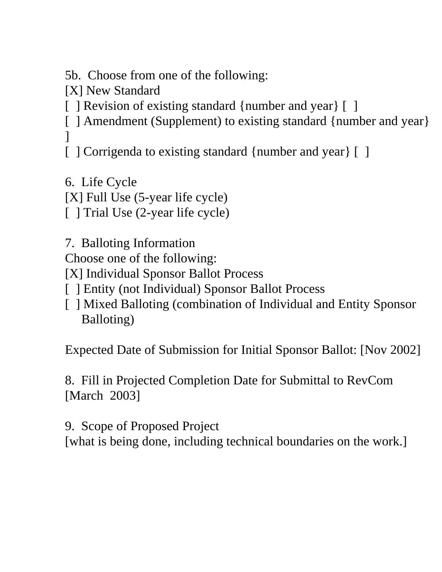5b. Choose from one of the following:

[X] New Standard

[ ] Revision of existing standard {number and year} [ ]

[ ] Amendment (Supplement) to existing standard {number and year}  $\mathbf{I}$ 

[ ] Corrigenda to existing standard {number and year} [ ]

6. Life Cycle [X] Full Use (5-year life cycle) [ ] Trial Use (2-year life cycle)

7. Balloting Information Choose one of the following: [X] Individual Sponsor Ballot Process

- [ ] Entity (not Individual) Sponsor Ballot Process
- [ ] Mixed Balloting (combination of Individual and Entity Sponsor Balloting)

Expected Date of Submission for Initial Sponsor Ballot: [Nov 2002]

8. Fill in Projected Completion Date for Submittal to RevCom [March 2003]

9. Scope of Proposed Project

[what is being done, including technical boundaries on the work.]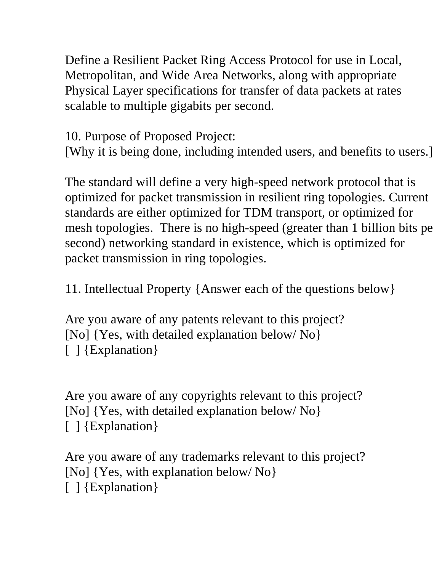Define a Resilient Packet Ring Access Protocol for use in Local, Metropolitan, and Wide Area Networks, along with appropriate Physical Layer specifications for transfer of data packets at rates scalable to multiple gigabits per second.

10. Purpose of Proposed Project:

[Why it is being done, including intended users, and benefits to users.]

The standard will define a very high-speed network protocol that is optimized for packet transmission in resilient ring topologies. Current standards are either optimized for TDM transport, or optimized for mesh topologies. There is no high-speed (greater than 1 billion bits pe second) networking standard in existence, which is optimized for packet transmission in ring topologies.

11. Intellectual Property {Answer each of the questions below}

Are you aware of any patents relevant to this project? [No] {Yes, with detailed explanation below/ No} [ ] {Explanation}

Are you aware of any copyrights relevant to this project? [No] {Yes, with detailed explanation below/ No} [ ] {Explanation}

Are you aware of any trademarks relevant to this project? [No] {Yes, with explanation below/ No} [ ] {Explanation}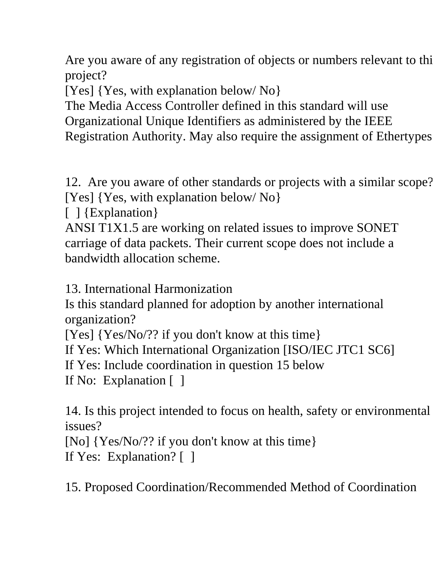Are you aware of any registration of objects or numbers relevant to thi project?

[Yes] {Yes, with explanation below/ No}

The Media Access Controller defined in this standard will use Organizational Unique Identifiers as administered by the IEEE Registration Authority. May also require the assignment of Ethertypes

12. Are you aware of other standards or projects with a similar scope? [Yes] {Yes, with explanation below/ No}

[ ] {Explanation}

ANSI T1X1.5 are working on related issues to improve SONET carriage of data packets. Their current scope does not include a bandwidth allocation scheme.

13. International Harmonization

Is this standard planned for adoption by another international organization?

[Yes] {Yes/No/?? if you don't know at this time}

If Yes: Which International Organization [ISO/IEC JTC1 SC6]

If Yes: Include coordination in question 15 below

If No: Explanation [ ]

14. Is this project intended to focus on health, safety or environmental issues?

[No] {Yes/No/?? if you don't know at this time}

If Yes: Explanation? [ ]

15. Proposed Coordination/Recommended Method of Coordination